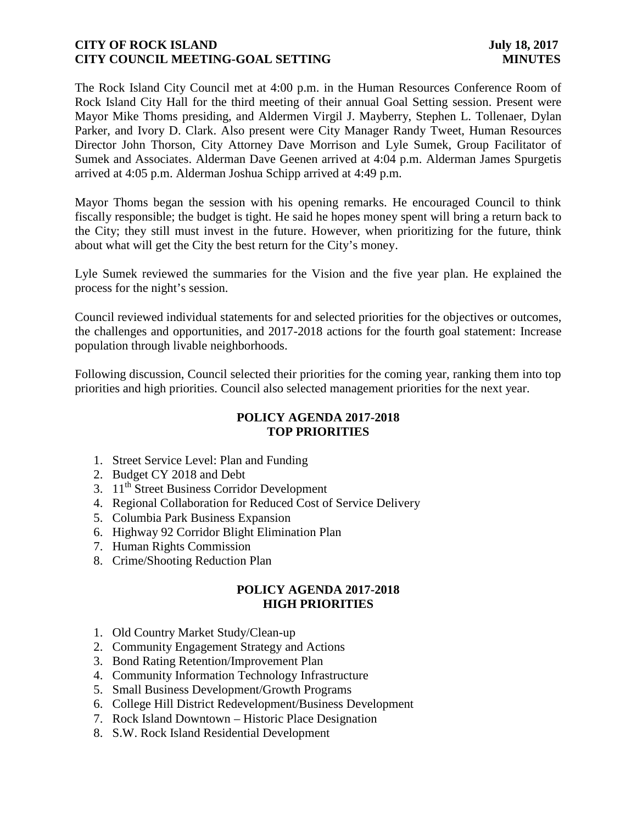# **CITY OF ROCK ISLAND July 18, 2017 CITY COUNCIL MEETING-GOAL SETTING MINUTES**

The Rock Island City Council met at 4:00 p.m. in the Human Resources Conference Room of Rock Island City Hall for the third meeting of their annual Goal Setting session. Present were Mayor Mike Thoms presiding, and Aldermen Virgil J. Mayberry, Stephen L. Tollenaer, Dylan Parker, and Ivory D. Clark. Also present were City Manager Randy Tweet, Human Resources Director John Thorson, City Attorney Dave Morrison and Lyle Sumek, Group Facilitator of Sumek and Associates. Alderman Dave Geenen arrived at 4:04 p.m. Alderman James Spurgetis arrived at 4:05 p.m. Alderman Joshua Schipp arrived at 4:49 p.m.

Mayor Thoms began the session with his opening remarks. He encouraged Council to think fiscally responsible; the budget is tight. He said he hopes money spent will bring a return back to the City; they still must invest in the future. However, when prioritizing for the future, think about what will get the City the best return for the City's money.

Lyle Sumek reviewed the summaries for the Vision and the five year plan. He explained the process for the night's session.

Council reviewed individual statements for and selected priorities for the objectives or outcomes, the challenges and opportunities, and 2017-2018 actions for the fourth goal statement: Increase population through livable neighborhoods.

Following discussion, Council selected their priorities for the coming year, ranking them into top priorities and high priorities. Council also selected management priorities for the next year.

# **POLICY AGENDA 2017-2018 TOP PRIORITIES**

- 1. Street Service Level: Plan and Funding
- 2. Budget CY 2018 and Debt
- 3. 11<sup>th</sup> Street Business Corridor Development
- 4. Regional Collaboration for Reduced Cost of Service Delivery
- 5. Columbia Park Business Expansion
- 6. Highway 92 Corridor Blight Elimination Plan
- 7. Human Rights Commission
- 8. Crime/Shooting Reduction Plan

# **POLICY AGENDA 2017-2018 HIGH PRIORITIES**

- 1. Old Country Market Study/Clean-up
- 2. Community Engagement Strategy and Actions
- 3. Bond Rating Retention/Improvement Plan
- 4. Community Information Technology Infrastructure
- 5. Small Business Development/Growth Programs
- 6. College Hill District Redevelopment/Business Development
- 7. Rock Island Downtown Historic Place Designation
- 8. S.W. Rock Island Residential Development